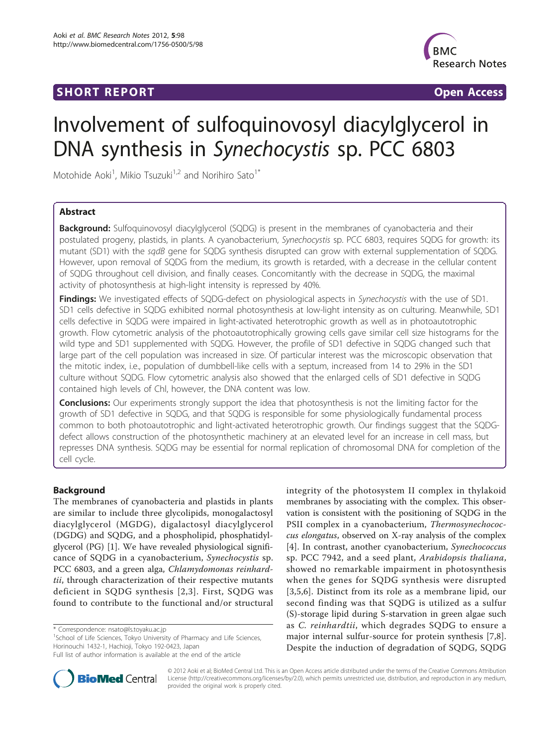## SHORT REPORT **The Contract of the Contract Open Access**



# Involvement of sulfoquinovosyl diacylglycerol in DNA synthesis in Synechocystis sp. PCC 6803

Motohide Aoki<sup>1</sup>, Mikio Tsuzuki<sup>1,2</sup> and Norihiro Sato<sup>1\*</sup>

## Abstract

**Background:** Sulfoquinovosyl diacylglycerol (SQDG) is present in the membranes of cyanobacteria and their postulated progeny, plastids, in plants. A cyanobacterium, Synechocystis sp. PCC 6803, requires SQDG for growth: its mutant (SD1) with the sqdB gene for SQDG synthesis disrupted can grow with external supplementation of SQDG. However, upon removal of SQDG from the medium, its growth is retarded, with a decrease in the cellular content of SQDG throughout cell division, and finally ceases. Concomitantly with the decrease in SQDG, the maximal activity of photosynthesis at high-light intensity is repressed by 40%.

Findings: We investigated effects of SQDG-defect on physiological aspects in Synechocystis with the use of SD1. SD1 cells defective in SQDG exhibited normal photosynthesis at low-light intensity as on culturing. Meanwhile, SD1 cells defective in SQDG were impaired in light-activated heterotrophic growth as well as in photoautotrophic growth. Flow cytometric analysis of the photoautotrophically growing cells gave similar cell size histograms for the wild type and SD1 supplemented with SQDG. However, the profile of SD1 defective in SQDG changed such that large part of the cell population was increased in size. Of particular interest was the microscopic observation that the mitotic index, i.e., population of dumbbell-like cells with a septum, increased from 14 to 29% in the SD1 culture without SQDG. Flow cytometric analysis also showed that the enlarged cells of SD1 defective in SQDG contained high levels of Chl, however, the DNA content was low.

**Conclusions:** Our experiments strongly support the idea that photosynthesis is not the limiting factor for the growth of SD1 defective in SQDG, and that SQDG is responsible for some physiologically fundamental process common to both photoautotrophic and light-activated heterotrophic growth. Our findings suggest that the SQDGdefect allows construction of the photosynthetic machinery at an elevated level for an increase in cell mass, but represses DNA synthesis. SQDG may be essential for normal replication of chromosomal DNA for completion of the cell cycle.

## Background

The membranes of cyanobacteria and plastids in plants are similar to include three glycolipids, monogalactosyl diacylglycerol (MGDG), digalactosyl diacylglycerol (DGDG) and SQDG, and a phospholipid, phosphatidylglycerol (PG) [\[1](#page-7-0)]. We have revealed physiological significance of SQDG in a cyanobacterium, Synechocystis sp. PCC 6803, and a green alga, Chlamydomonas reinhardtii, through characterization of their respective mutants deficient in SQDG synthesis [[2,3](#page-7-0)]. First, SQDG was found to contribute to the functional and/or structural

\* Correspondence: [nsato@ls.toyaku.ac.jp](mailto:nsato@ls.toyaku.ac.jp)

<sup>1</sup>School of Life Sciences, Tokyo University of Pharmacy and Life Sciences, Horinouchi 1432-1, Hachioji, Tokyo 192-0423, Japan

integrity of the photosystem II complex in thylakoid membranes by associating with the complex. This observation is consistent with the positioning of SQDG in the PSII complex in a cyanobacterium, Thermosynechococcus elongatus, observed on X-ray analysis of the complex [[4\]](#page-7-0). In contrast, another cyanobacterium, Synechococcus sp. PCC 7942, and a seed plant, Arabidopsis thaliana, showed no remarkable impairment in photosynthesis when the genes for SQDG synthesis were disrupted [[3,5](#page-7-0),[6\]](#page-7-0). Distinct from its role as a membrane lipid, our second finding was that SQDG is utilized as a sulfur (S)-storage lipid during S-starvation in green algae such as C. reinhardtii, which degrades SQDG to ensure a major internal sulfur-source for protein synthesis [[7,8](#page-7-0)]. Despite the induction of degradation of SQDG, SQDG



© 2012 Aoki et al; BioMed Central Ltd. This is an Open Access article distributed under the terms of the Creative Commons Attribution License [\(http://creativecommons.org/licenses/by/2.0](http://creativecommons.org/licenses/by/2.0)), which permits unrestricted use, distribution, and reproduction in any medium, provided the original work is properly cited.

Full list of author information is available at the end of the article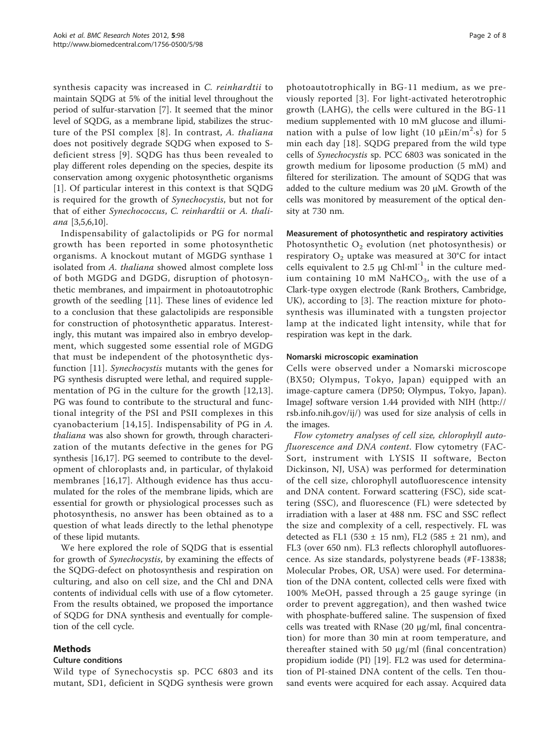synthesis capacity was increased in C. reinhardtii to maintain SQDG at 5% of the initial level throughout the period of sulfur-starvation [\[7](#page-7-0)]. It seemed that the minor level of SQDG, as a membrane lipid, stabilizes the structure of the PSI complex [[8\]](#page-7-0). In contrast, A. thaliana does not positively degrade SQDG when exposed to Sdeficient stress [[9](#page-7-0)]. SQDG has thus been revealed to play different roles depending on the species, despite its conservation among oxygenic photosynthetic organisms [[1](#page-7-0)]. Of particular interest in this context is that SQDG is required for the growth of Synechocystis, but not for that of either Synechococcus, C. reinhardtii or A. thaliana [[3,5,6,10\]](#page-7-0).

Indispensability of galactolipids or PG for normal growth has been reported in some photosynthetic organisms. A knockout mutant of MGDG synthase 1 isolated from A. thaliana showed almost complete loss of both MGDG and DGDG, disruption of photosynthetic membranes, and impairment in photoautotrophic growth of the seedling [[11\]](#page-7-0). These lines of evidence led to a conclusion that these galactolipids are responsible for construction of photosynthetic apparatus. Interestingly, this mutant was impaired also in embryo development, which suggested some essential role of MGDG that must be independent of the photosynthetic dysfunction [[11\]](#page-7-0). Synechocystis mutants with the genes for PG synthesis disrupted were lethal, and required supplementation of PG in the culture for the growth [[12,13](#page-7-0)]. PG was found to contribute to the structural and functional integrity of the PSI and PSII complexes in this cyanobacterium [[14](#page-7-0),[15](#page-7-0)]. Indispensability of PG in A. thaliana was also shown for growth, through characterization of the mutants defective in the genes for PG synthesis [[16,17\]](#page-7-0). PG seemed to contribute to the development of chloroplasts and, in particular, of thylakoid membranes [[16,17](#page-7-0)]. Although evidence has thus accumulated for the roles of the membrane lipids, which are essential for growth or physiological processes such as photosynthesis, no answer has been obtained as to a question of what leads directly to the lethal phenotype of these lipid mutants.

We here explored the role of SQDG that is essential for growth of Synechocystis, by examining the effects of the SQDG-defect on photosynthesis and respiration on culturing, and also on cell size, and the Chl and DNA contents of individual cells with use of a flow cytometer. From the results obtained, we proposed the importance of SQDG for DNA synthesis and eventually for completion of the cell cycle.

## Methods

## Culture conditions

Wild type of Synechocystis sp. PCC 6803 and its mutant, SD1, deficient in SQDG synthesis were grown

photoautotrophically in BG-11 medium, as we previously reported [[3](#page-7-0)]. For light-activated heterotrophic growth (LAHG), the cells were cultured in the BG-11 medium supplemented with 10 mM glucose and illumination with a pulse of low light (10  $\mu$ Ein/m<sup>2</sup>·s) for 5 min each day [\[18](#page-7-0)]. SQDG prepared from the wild type cells of Synechocystis sp. PCC 6803 was sonicated in the growth medium for liposome production (5 mM) and filtered for sterilization. The amount of SQDG that was added to the culture medium was 20 μM. Growth of the cells was monitored by measurement of the optical density at 730 nm.

## Measurement of photosynthetic and respiratory activities

Photosynthetic  $O_2$  evolution (net photosynthesis) or respiratory  $O_2$  uptake was measured at 30°C for intact cells equivalent to 2.5  $\mu$ g Chl·ml<sup>-1</sup> in the culture medium containing 10 mM NaHCO<sub>3</sub>, with the use of a Clark-type oxygen electrode (Rank Brothers, Cambridge, UK), according to [\[3](#page-7-0)]. The reaction mixture for photosynthesis was illuminated with a tungsten projector lamp at the indicated light intensity, while that for respiration was kept in the dark.

#### Nomarski microscopic examination

Cells were observed under a Nomarski microscope (BX50; Olympus, Tokyo, Japan) equipped with an image-capture camera (DP50; Olympus, Tokyo, Japan). ImageJ software version 1.44 provided with NIH [\(http://](http://rsb.info.nih.gov/ij/) [rsb.info.nih.gov/ij/\)](http://rsb.info.nih.gov/ij/) was used for size analysis of cells in the images.

Flow cytometry analyses of cell size, chlorophyll autofluorescence and DNA content. Flow cytometry (FAC-Sort, instrument with LYSIS II software, Becton Dickinson, NJ, USA) was performed for determination of the cell size, chlorophyll autofluorescence intensity and DNA content. Forward scattering (FSC), side scattering (SSC), and fluorescence (FL) were sdetected by irradiation with a laser at 488 nm. FSC and SSC reflect the size and complexity of a cell, respectively. FL was detected as FL1 (530  $\pm$  15 nm), FL2 (585  $\pm$  21 nm), and FL3 (over 650 nm). FL3 reflects chlorophyll autofluorescence. As size standards, polystyrene beads (#F-13838; Molecular Probes, OR, USA) were used. For determination of the DNA content, collected cells were fixed with 100% MeOH, passed through a 25 gauge syringe (in order to prevent aggregation), and then washed twice with phosphate-buffered saline. The suspension of fixed cells was treated with RNase (20 μg/ml, final concentration) for more than 30 min at room temperature, and thereafter stained with 50 μg/ml (final concentration) propidium iodide (PI) [\[19\]](#page-7-0). FL2 was used for determination of PI-stained DNA content of the cells. Ten thousand events were acquired for each assay. Acquired data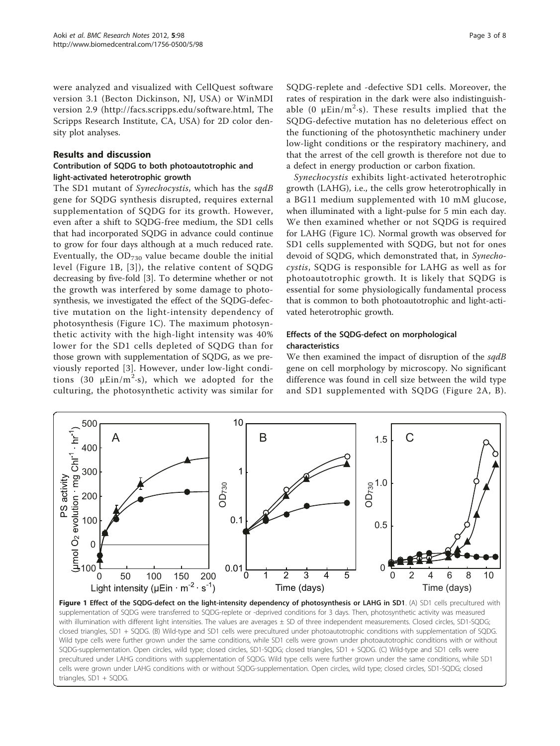<span id="page-2-0"></span>were analyzed and visualized with CellQuest software version 3.1 (Becton Dickinson, NJ, USA) or WinMDI version 2.9 (<http://facs.scripps.edu/software.html>, The Scripps Research Institute, CA, USA) for 2D color density plot analyses.

## Results and discussion

## Contribution of SQDG to both photoautotrophic and light-activated heterotrophic growth

The SD1 mutant of Synechocystis, which has the sqdB gene for SQDG synthesis disrupted, requires external supplementation of SQDG for its growth. However, even after a shift to SQDG-free medium, the SD1 cells that had incorporated SQDG in advance could continue to grow for four days although at a much reduced rate. Eventually, the  $OD_{730}$  value became double the initial level (Figure 1B, [[3\]](#page-7-0)), the relative content of SQDG decreasing by five-fold [[3](#page-7-0)]. To determine whether or not the growth was interfered by some damage to photosynthesis, we investigated the effect of the SQDG-defective mutation on the light-intensity dependency of photosynthesis (Figure 1C). The maximum photosynthetic activity with the high-light intensity was 40% lower for the SD1 cells depleted of SQDG than for those grown with supplementation of SQDG, as we previously reported [[3](#page-7-0)]. However, under low-light conditions (30  $\mu$ Ein/m<sup>2</sup>·s), which we adopted for the culturing, the photosynthetic activity was similar for SQDG-replete and -defective SD1 cells. Moreover, the rates of respiration in the dark were also indistinguishable (0  $\mu$ Ein/m<sup>2</sup>·s). These results implied that the SQDG-defective mutation has no deleterious effect on the functioning of the photosynthetic machinery under low-light conditions or the respiratory machinery, and that the arrest of the cell growth is therefore not due to a defect in energy production or carbon fixation.

Synechocystis exhibits light-activated heterotrophic growth (LAHG), i.e., the cells grow heterotrophically in a BG11 medium supplemented with 10 mM glucose, when illuminated with a light-pulse for 5 min each day. We then examined whether or not SQDG is required for LAHG (Figure 1C). Normal growth was observed for SD1 cells supplemented with SQDG, but not for ones devoid of SODG, which demonstrated that, in Synechocystis, SQDG is responsible for LAHG as well as for photoautotrophic growth. It is likely that SQDG is essential for some physiologically fundamental process that is common to both photoautotrophic and light-activated heterotrophic growth.

## Effects of the SQDG-defect on morphological characteristics

We then examined the impact of disruption of the sqdB gene on cell morphology by microscopy. No significant difference was found in cell size between the wild type and SD1 supplemented with SQDG (Figure [2A, B\)](#page-3-0).



Figure 1 Effect of the SQDG-defect on the light-intensity dependency of photosynthesis or LAHG in SD1. (A) SD1 cells precultured with supplementation of SQDG were transferred to SQDG-replete or -deprived conditions for 3 days. Then, photosynthetic activity was measured with illumination with different light intensities. The values are averages ± SD of three independent measurements. Closed circles, SD1-SQDG; closed triangles, SD1 + SQDG. (B) Wild-type and SD1 cells were precultured under photoautotrophic conditions with supplementation of SQDG. Wild type cells were further grown under the same conditions, while SD1 cells were grown under photoautotrophic conditions with or without SQDG-supplementation. Open circles, wild type; closed circles, SD1-SQDG; closed triangles, SD1 + SQDG. (C) Wild-type and SD1 cells were precultured under LAHG conditions with supplementation of SQDG. Wild type cells were further grown under the same conditions, while SD1 cells were grown under LAHG conditions with or without SQDG-supplementation. Open circles, wild type; closed circles, SD1-SQDG; closed triangles, SD1 + SQDG.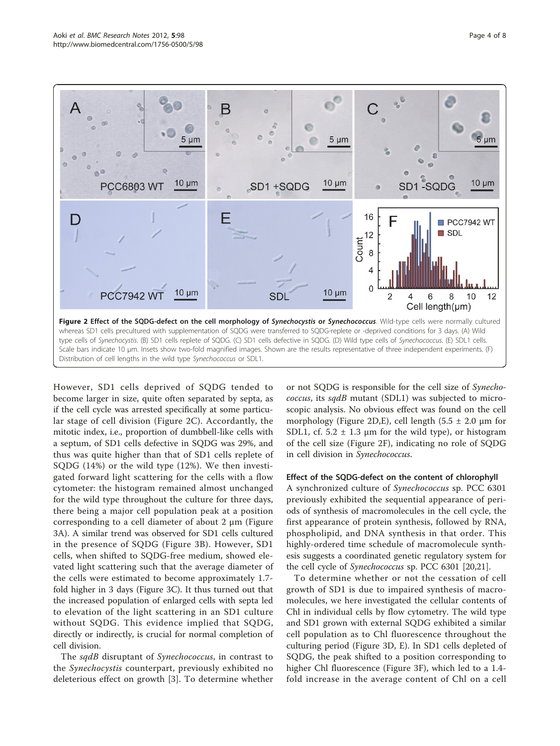<span id="page-3-0"></span>

However, SD1 cells deprived of SQDG tended to become larger in size, quite often separated by septa, as if the cell cycle was arrested specifically at some particular stage of cell division (Figure 2C). Accordantly, the mitotic index, i.e., proportion of dumbbell-like cells with a septum, of SD1 cells defective in SQDG was 29%, and thus was quite higher than that of SD1 cells replete of SQDG (14%) or the wild type (12%). We then investigated forward light scattering for the cells with a flow cytometer: the histogram remained almost unchanged for the wild type throughout the culture for three days, there being a major cell population peak at a position corresponding to a cell diameter of about 2 μm (Figure [3A](#page-4-0)). A similar trend was observed for SD1 cells cultured in the presence of SQDG (Figure [3B](#page-4-0)). However, SD1 cells, when shifted to SQDG-free medium, showed elevated light scattering such that the average diameter of the cells were estimated to become approximately 1.7 fold higher in 3 days (Figure [3C\)](#page-4-0). It thus turned out that the increased population of enlarged cells with septa led to elevation of the light scattering in an SD1 culture without SQDG. This evidence implied that SQDG, directly or indirectly, is crucial for normal completion of cell division.

The sqdB disruptant of Synechococcus, in contrast to the Synechocystis counterpart, previously exhibited no deleterious effect on growth [[3](#page-7-0)]. To determine whether

or not SQDG is responsible for the cell size of Synechococcus, its sqdB mutant (SDL1) was subjected to microscopic analysis. No obvious effect was found on the cell morphology (Figure 2D, E), cell length  $(5.5 \pm 2.0 \mu m)$  for SDL1, cf.  $5.2 \pm 1.3$  µm for the wild type), or histogram of the cell size (Figure 2F), indicating no role of SQDG in cell division in Synechococcus.

#### Effect of the SQDG-defect on the content of chlorophyll

A synchronized culture of Synechococcus sp. PCC 6301 previously exhibited the sequential appearance of periods of synthesis of macromolecules in the cell cycle, the first appearance of protein synthesis, followed by RNA, phospholipid, and DNA synthesis in that order. This highly-ordered time schedule of macromolecule synthesis suggests a coordinated genetic regulatory system for the cell cycle of Synechococcus sp. PCC 6301 [\[20,21\]](#page-7-0).

To determine whether or not the cessation of cell growth of SD1 is due to impaired synthesis of macromolecules, we here investigated the cellular contents of Chl in individual cells by flow cytometry. The wild type and SD1 grown with external SQDG exhibited a similar cell population as to Chl fluorescence throughout the culturing period (Figure [3D, E](#page-4-0)). In SD1 cells depleted of SQDG, the peak shifted to a position corresponding to higher Chl fluorescence (Figure [3F](#page-4-0)), which led to a 1.4 fold increase in the average content of Chl on a cell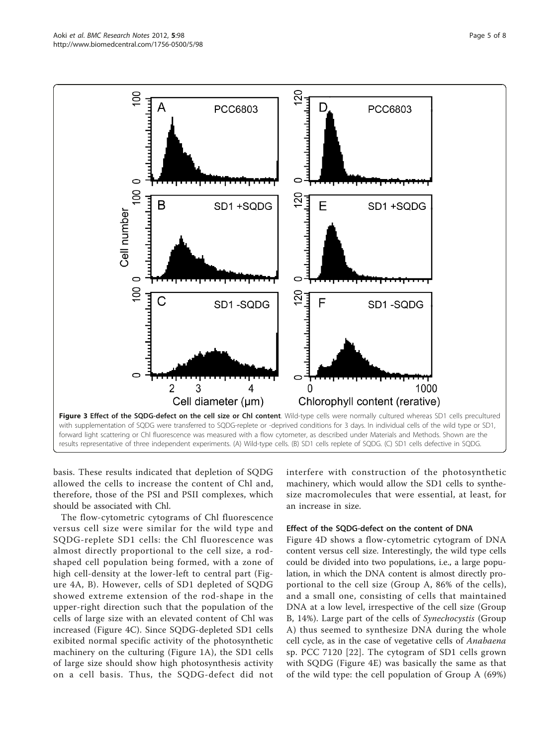basis. These results indicated that depletion of SQDG allowed the cells to increase the content of Chl and, therefore, those of the PSI and PSII complexes, which should be associated with Chl.

The flow-cytometric cytograms of Chl fluorescence versus cell size were similar for the wild type and SQDG-replete SD1 cells: the Chl fluorescence was almost directly proportional to the cell size, a rodshaped cell population being formed, with a zone of high cell-density at the lower-left to central part (Figure [4A, B](#page-5-0)). However, cells of SD1 depleted of SQDG showed extreme extension of the rod-shape in the upper-right direction such that the population of the cells of large size with an elevated content of Chl was increased (Figure [4C](#page-5-0)). Since SQDG-depleted SD1 cells exibited normal specific activity of the photosynthetic machinery on the culturing (Figure [1A\)](#page-2-0), the SD1 cells of large size should show high photosynthesis activity on a cell basis. Thus, the SQDG-defect did not

interfere with construction of the photosynthetic machinery, which would allow the SD1 cells to synthesize macromolecules that were essential, at least, for an increase in size.

#### Effect of the SQDG-defect on the content of DNA

Figure [4D](#page-5-0) shows a flow-cytometric cytogram of DNA content versus cell size. Interestingly, the wild type cells could be divided into two populations, i.e., a large population, in which the DNA content is almost directly proportional to the cell size (Group A, 86% of the cells), and a small one, consisting of cells that maintained DNA at a low level, irrespective of the cell size (Group B, 14%). Large part of the cells of Synechocystis (Group A) thus seemed to synthesize DNA during the whole cell cycle, as in the case of vegetative cells of Anabaena sp. PCC 7120 [[22\]](#page-7-0). The cytogram of SD1 cells grown with SQDG (Figure [4E\)](#page-5-0) was basically the same as that of the wild type: the cell population of Group A (69%)

<span id="page-4-0"></span>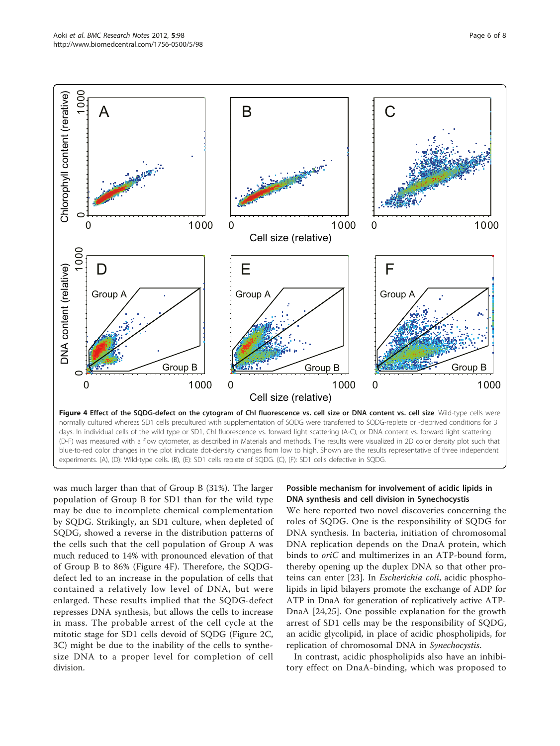<span id="page-5-0"></span>

was much larger than that of Group B (31%). The larger population of Group B for SD1 than for the wild type may be due to incomplete chemical complementation by SQDG. Strikingly, an SD1 culture, when depleted of SQDG, showed a reverse in the distribution patterns of the cells such that the cell population of Group A was much reduced to 14% with pronounced elevation of that of Group B to 86% (Figure 4F). Therefore, the SQDGdefect led to an increase in the population of cells that contained a relatively low level of DNA, but were enlarged. These results implied that the SQDG-defect represses DNA synthesis, but allows the cells to increase in mass. The probable arrest of the cell cycle at the mitotic stage for SD1 cells devoid of SQDG (Figure [2C](#page-3-0), [3C](#page-4-0)) might be due to the inability of the cells to synthesize DNA to a proper level for completion of cell division.

## Possible mechanism for involvement of acidic lipids in DNA synthesis and cell division in Synechocystis

We here reported two novel discoveries concerning the roles of SQDG. One is the responsibility of SQDG for DNA synthesis. In bacteria, initiation of chromosomal DNA replication depends on the DnaA protein, which binds to oriC and multimerizes in an ATP-bound form, thereby opening up the duplex DNA so that other proteins can enter [[23\]](#page-7-0). In Escherichia coli, acidic phospholipids in lipid bilayers promote the exchange of ADP for ATP in DnaA for generation of replicatively active ATP-DnaA [[24,25](#page-7-0)]. One possible explanation for the growth arrest of SD1 cells may be the responsibility of SQDG, an acidic glycolipid, in place of acidic phospholipids, for replication of chromosomal DNA in Synechocystis.

In contrast, acidic phospholipids also have an inhibitory effect on DnaA-binding, which was proposed to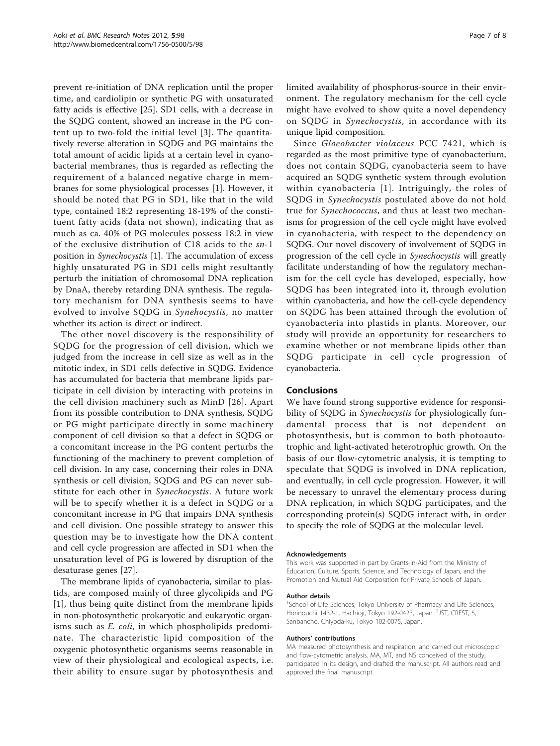prevent re-initiation of DNA replication until the proper time, and cardiolipin or synthetic PG with unsaturated fatty acids is effective [\[25](#page-7-0)]. SD1 cells, with a decrease in the SQDG content, showed an increase in the PG content up to two-fold the initial level [\[3\]](#page-7-0). The quantitatively reverse alteration in SQDG and PG maintains the total amount of acidic lipids at a certain level in cyanobacterial membranes, thus is regarded as reflecting the requirement of a balanced negative charge in membranes for some physiological processes [[1\]](#page-7-0). However, it should be noted that PG in SD1, like that in the wild type, contained 18:2 representing 18-19% of the constituent fatty acids (data not shown), indicating that as much as ca. 40% of PG molecules possess 18:2 in view of the exclusive distribution of C18 acids to the sn-1 position in Synechocystis [\[1](#page-7-0)]. The accumulation of excess highly unsaturated PG in SD1 cells might resultantly perturb the initiation of chromosomal DNA replication by DnaA, thereby retarding DNA synthesis. The regulatory mechanism for DNA synthesis seems to have evolved to involve SQDG in Synehocystis, no matter whether its action is direct or indirect.

The other novel discovery is the responsibility of SQDG for the progression of cell division, which we judged from the increase in cell size as well as in the mitotic index, in SD1 cells defective in SQDG. Evidence has accumulated for bacteria that membrane lipids participate in cell division by interacting with proteins in the cell division machinery such as MinD [\[26\]](#page-7-0). Apart from its possible contribution to DNA synthesis, SQDG or PG might participate directly in some machinery component of cell division so that a defect in SQDG or a concomitant increase in the PG content perturbs the functioning of the machinery to prevent completion of cell division. In any case, concerning their roles in DNA synthesis or cell division, SQDG and PG can never substitute for each other in Synechocystis. A future work will be to specify whether it is a defect in SQDG or a concomitant increase in PG that impairs DNA synthesis and cell division. One possible strategy to answer this question may be to investigate how the DNA content and cell cycle progression are affected in SD1 when the unsaturation level of PG is lowered by disruption of the desaturase genes [\[27](#page-7-0)].

The membrane lipids of cyanobacteria, similar to plastids, are composed mainly of three glycolipids and PG [[1\]](#page-7-0), thus being quite distinct from the membrane lipids in non-photosynthetic prokaryotic and eukaryotic organisms such as E. coli, in which phospholipids predominate. The characteristic lipid composition of the oxygenic photosynthetic organisms seems reasonable in view of their physiological and ecological aspects, i.e. their ability to ensure sugar by photosynthesis and limited availability of phosphorus-source in their environment. The regulatory mechanism for the cell cycle might have evolved to show quite a novel dependency on SQDG in Synechocystis, in accordance with its unique lipid composition.

Since Gloeobacter violaceus PCC 7421, which is regarded as the most primitive type of cyanobacterium, does not contain SQDG, cyanobacteria seem to have acquired an SQDG synthetic system through evolution within cyanobacteria [[1](#page-7-0)]. Intriguingly, the roles of SQDG in Synechocystis postulated above do not hold true for Synechococcus, and thus at least two mechanisms for progression of the cell cycle might have evolved in cyanobacteria, with respect to the dependency on SQDG. Our novel discovery of involvement of SQDG in progression of the cell cycle in Synechocystis will greatly facilitate understanding of how the regulatory mechanism for the cell cycle has developed, especially, how SQDG has been integrated into it, through evolution within cyanobacteria, and how the cell-cycle dependency on SQDG has been attained through the evolution of cyanobacteria into plastids in plants. Moreover, our study will provide an opportunity for researchers to examine whether or not membrane lipids other than SQDG participate in cell cycle progression of cyanobacteria.

## Conclusions

We have found strong supportive evidence for responsibility of SQDG in *Synechocystis* for physiologically fundamental process that is not dependent on photosynthesis, but is common to both photoautotrophic and light-activated heterotrophic growth. On the basis of our flow-cytometric analysis, it is tempting to speculate that SQDG is involved in DNA replication, and eventually, in cell cycle progression. However, it will be necessary to unravel the elementary process during DNA replication, in which SQDG participates, and the corresponding protein(s) SQDG interact with, in order to specify the role of SQDG at the molecular level.

#### Acknowledgements

This work was supported in part by Grants-in-Aid from the Ministry of Education, Culture, Sports, Science, and Technology of Japan, and the Promotion and Mutual Aid Corporation for Private Schools of Japan.

#### Author details

<sup>1</sup>School of Life Sciences, Tokyo University of Pharmacy and Life Sciences, Horinouchi 1432-1, Hachioji, Tokyo 192-0423, Japan. <sup>2</sup>JST, CREST, 5 Sanbancho, Chiyoda-ku, Tokyo 102-0075, Japan.

#### Authors' contributions

MA measured photosynthesis and respiration, and carried out microscopic and flow-cytometric analysis. MA, MT, and NS conceived of the study participated in its design, and drafted the manuscript. All authors read and approved the final manuscript.